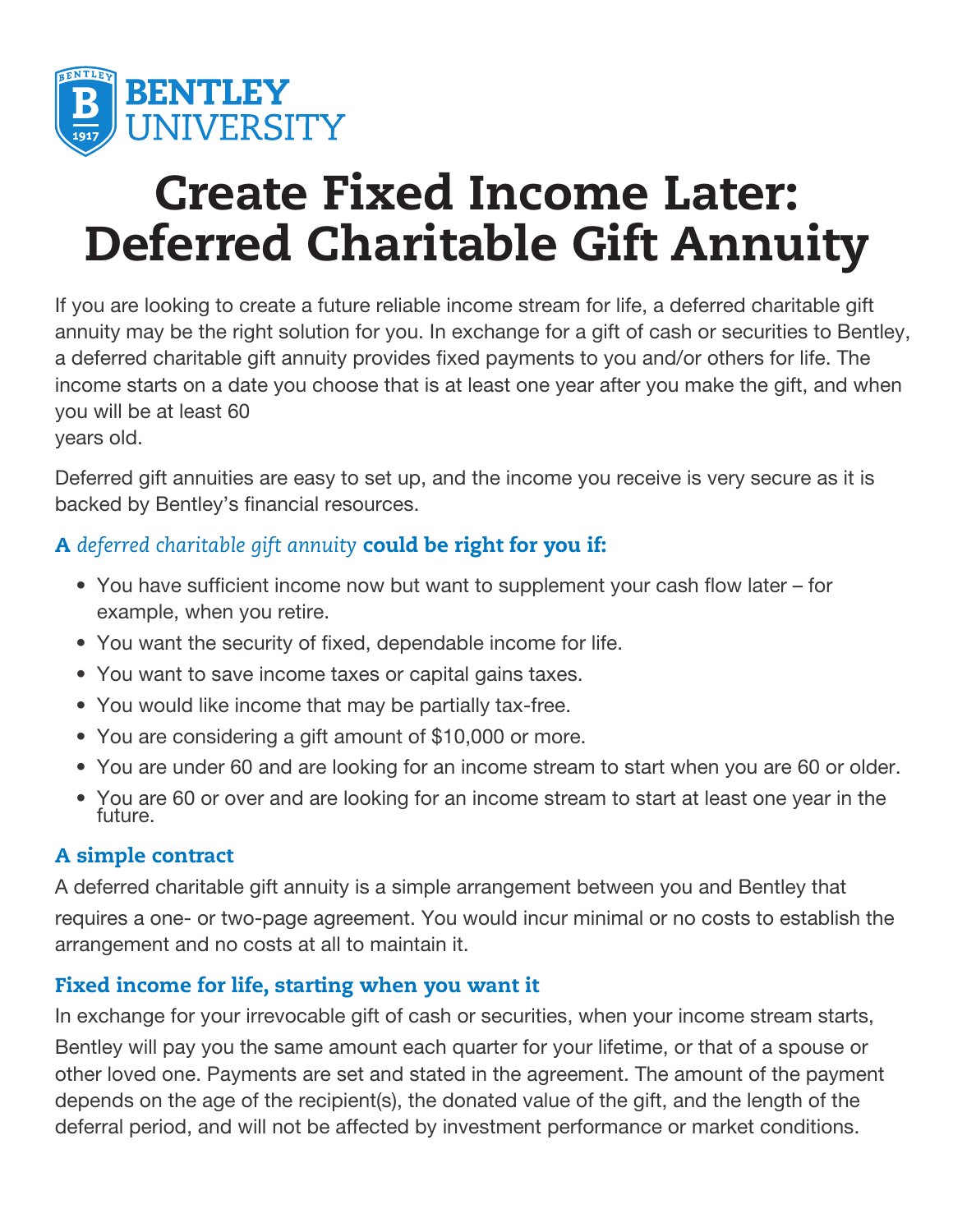

# Create Fixed Income Later: Deferred Charitable Gift Annuity

If you are looking to create a future reliable income stream for life, a deferred charitable gift annuity may be the right solution for you. In exchange for a gift of cash or securities to Bentley, a deferred charitable gift annuity provides fixed payments to you and/or others for life. The income starts on a date you choose that is at least one year after you make the gift, and when you will be at least 60

years old.

Deferred gift annuities are easy to set up, and the income you receive is very secure as it is backed by Bentley's financial resources.

# A *deferred charitable gift annuity* could be right for you if:

- You have sufficient income now but want to supplement your cash flow later for example, when you retire.
- You want the security of fixed, dependable income for life.
- You want to save income taxes or capital gains taxes.
- You would like income that may be partially tax-free.
- You are considering a gift amount of \$10,000 or more.
- You are under 60 and are looking for an income stream to start when you are 60 or older.
- You are 60 or over and are looking for an income stream to start at least one year in the future.

#### A simple contract

A deferred charitable gift annuity is a simple arrangement between you and Bentley that requires a one- or two-page agreement. You would incur minimal or no costs to establish the arrangement and no costs at all to maintain it.

# Fixed income for life, starting when you want it

In exchange for your irrevocable gift of cash or securities, when your income stream starts, Bentley will pay you the same amount each quarter for your lifetime, or that of a spouse or other loved one. Payments are set and stated in the agreement. The amount of the payment depends on the age of the recipient(s), the donated value of the gift, and the length of the deferral period, and will not be affected by investment performance or market conditions.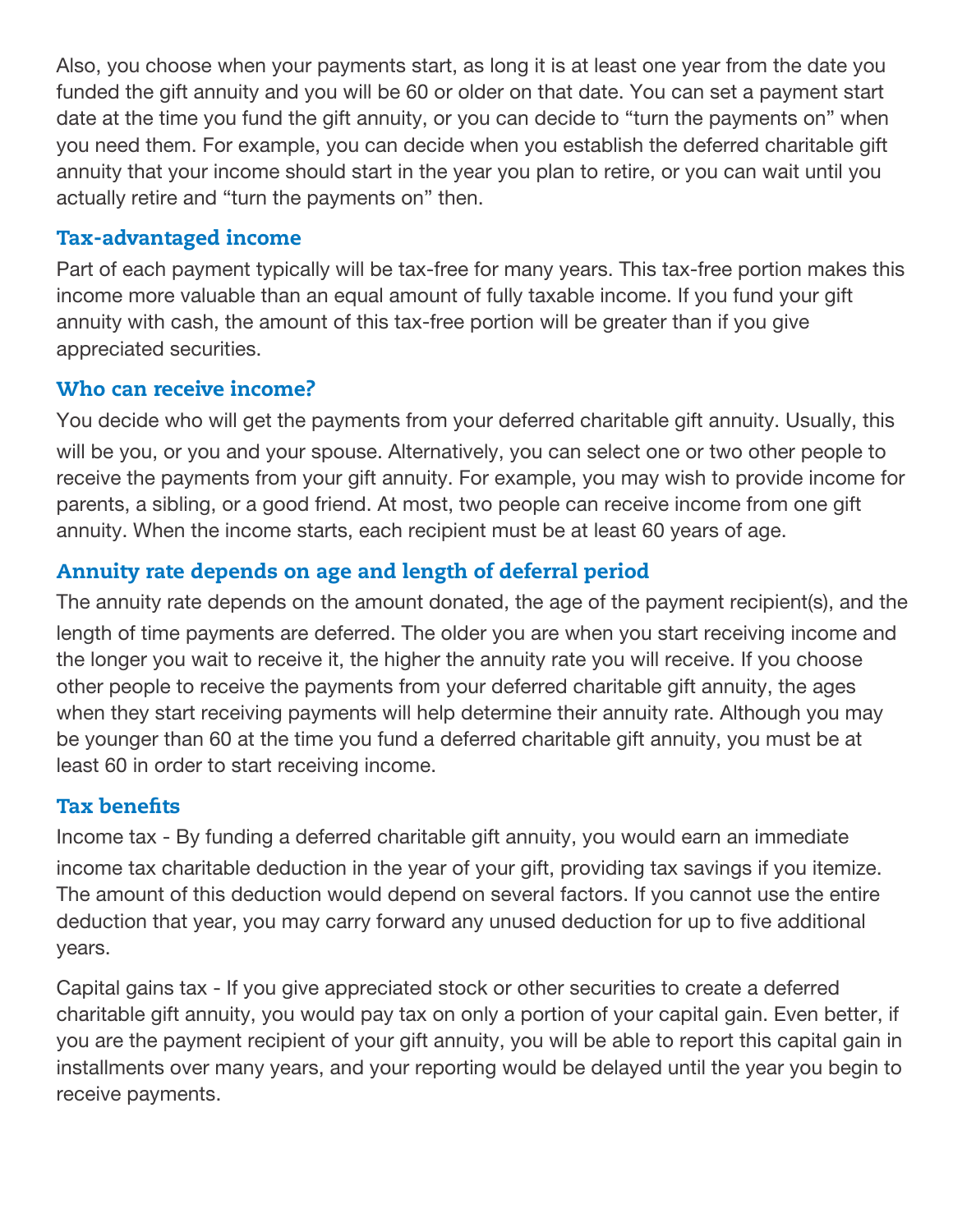Also, you choose when your payments start, as long it is at least one year from the date you funded the gift annuity and you will be 60 or older on that date. You can set a payment start date at the time you fund the gift annuity, or you can decide to "turn the payments on" when you need them. For example, you can decide when you establish the deferred charitable gift annuity that your income should start in the year you plan to retire, or you can wait until you actually retire and "turn the payments on" then.

#### Tax-advantaged income

Part of each payment typically will be tax-free for many years. This tax-free portion makes this income more valuable than an equal amount of fully taxable income. If you fund your gift annuity with cash, the amount of this tax-free portion will be greater than if you give appreciated securities.

# Who can receive income?

You decide who will get the payments from your deferred charitable gift annuity. Usually, this will be you, or you and your spouse. Alternatively, you can select one or two other people to receive the payments from your gift annuity. For example, you may wish to provide income for parents, a sibling, or a good friend. At most, two people can receive income from one gift annuity. When the income starts, each recipient must be at least 60 years of age.

# Annuity rate depends on age and length of deferral period

The annuity rate depends on the amount donated, the age of the payment recipient(s), and the length of time payments are deferred. The older you are when you start receiving income and the longer you wait to receive it, the higher the annuity rate you will receive. If you choose other people to receive the payments from your deferred charitable gift annuity, the ages when they start receiving payments will help determine their annuity rate. Although you may be younger than 60 at the time you fund a deferred charitable gift annuity, you must be at least 60 in order to start receiving income.

#### Tax benefits

Income tax - By funding a deferred charitable gift annuity, you would earn an immediate income tax charitable deduction in the year of your gift, providing tax savings if you itemize. The amount of this deduction would depend on several factors. If you cannot use the entire deduction that year, you may carry forward any unused deduction for up to five additional years.

Capital gains tax - If you give appreciated stock or other securities to create a deferred charitable gift annuity, you would pay tax on only a portion of your capital gain. Even better, if you are the payment recipient of your gift annuity, you will be able to report this capital gain in installments over many years, and your reporting would be delayed until the year you begin to receive payments.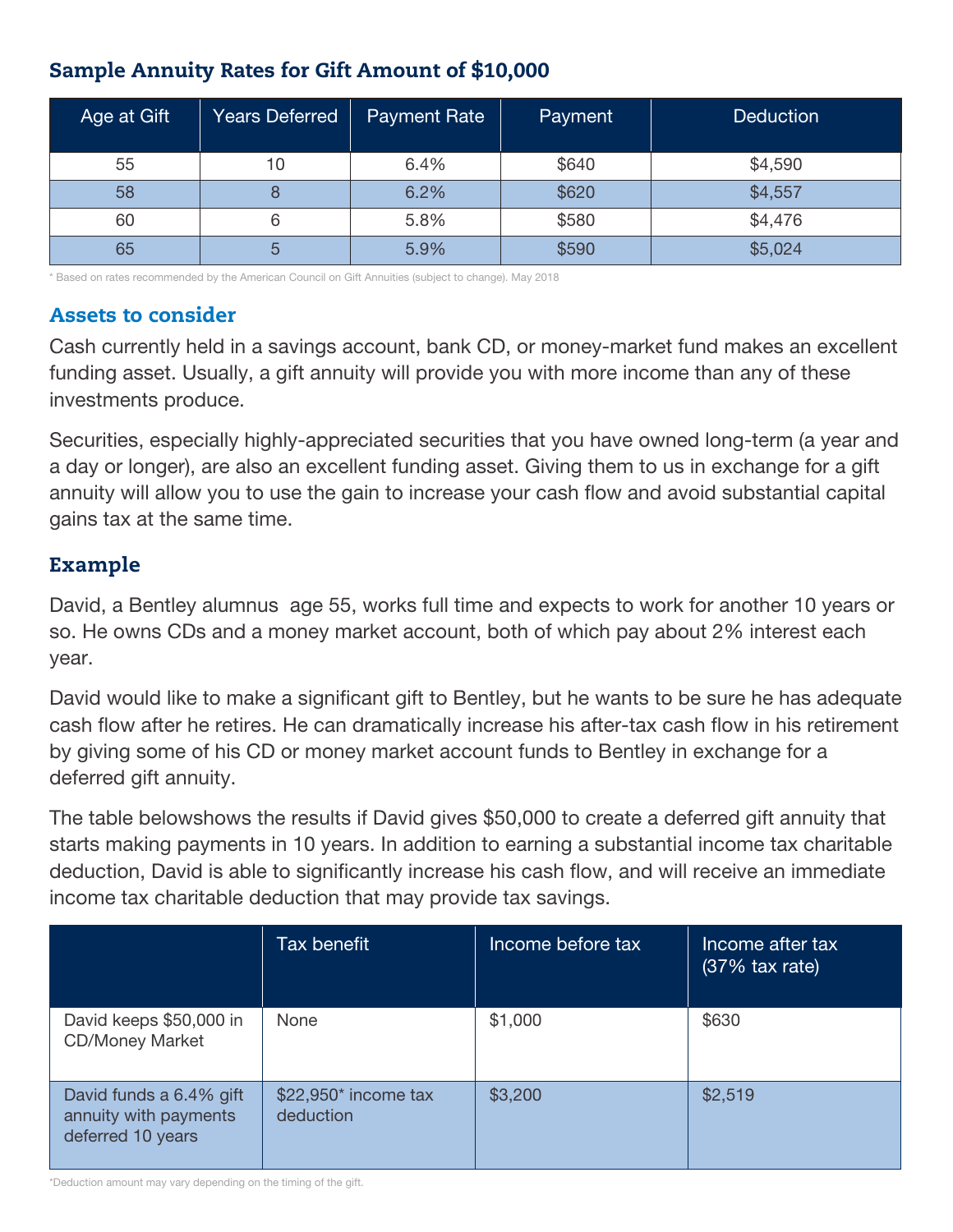# Sample Annuity Rates for Gift Amount of \$10,000

| Age at Gift | <b>Years Deferred</b> | <b>Payment Rate</b> | Payment | <b>Deduction</b> |
|-------------|-----------------------|---------------------|---------|------------------|
| 55          | 10                    | 6.4%                | \$640   | \$4,590          |
| 58          | O                     | 6.2%                | \$620   | \$4,557          |
| 60          | 6                     | 5.8%                | \$580   | \$4,476          |
| 65          | ხ                     | 5.9%                | \$590   | \$5,024          |

\* Based on rates recommended by the American Council on Gift Annuities (subject to change). May 2018

#### Assets to consider

Cash currently held in a savings account, bank CD, or money-market fund makes an excellent funding asset. Usually, a gift annuity will provide you with more income than any of these investments produce.

Securities, especially highly-appreciated securities that you have owned long-term (a year and a day or longer), are also an excellent funding asset. Giving them to us in exchange for a gift annuity will allow you to use the gain to increase your cash flow and avoid substantial capital gains tax at the same time.

# Example

David, a Bentley alumnus age 55, works full time and expects to work for another 10 years or so. He owns CDs and a money market account, both of which pay about 2% interest each year.

David would like to make a significant gift to Bentley, but he wants to be sure he has adequate cash flow after he retires. He can dramatically increase his after-tax cash flow in his retirement by giving some of his CD or money market account funds to Bentley in exchange for a deferred gift annuity.

The table belowshows the results if David gives \$50,000 to create a deferred gift annuity that starts making payments in 10 years. In addition to earning a substantial income tax charitable deduction, David is able to significantly increase his cash flow, and will receive an immediate income tax charitable deduction that may provide tax savings.

|                                                                       | Tax benefit                       | Income before tax | Income after tax<br>(37% tax rate) |
|-----------------------------------------------------------------------|-----------------------------------|-------------------|------------------------------------|
| David keeps \$50,000 in<br><b>CD/Money Market</b>                     | None                              | \$1,000           | \$630                              |
| David funds a 6.4% gift<br>annuity with payments<br>deferred 10 years | \$22,950* income tax<br>deduction | \$3,200           | \$2,519                            |

\*Deduction amount may vary depending on the timing of the gift.